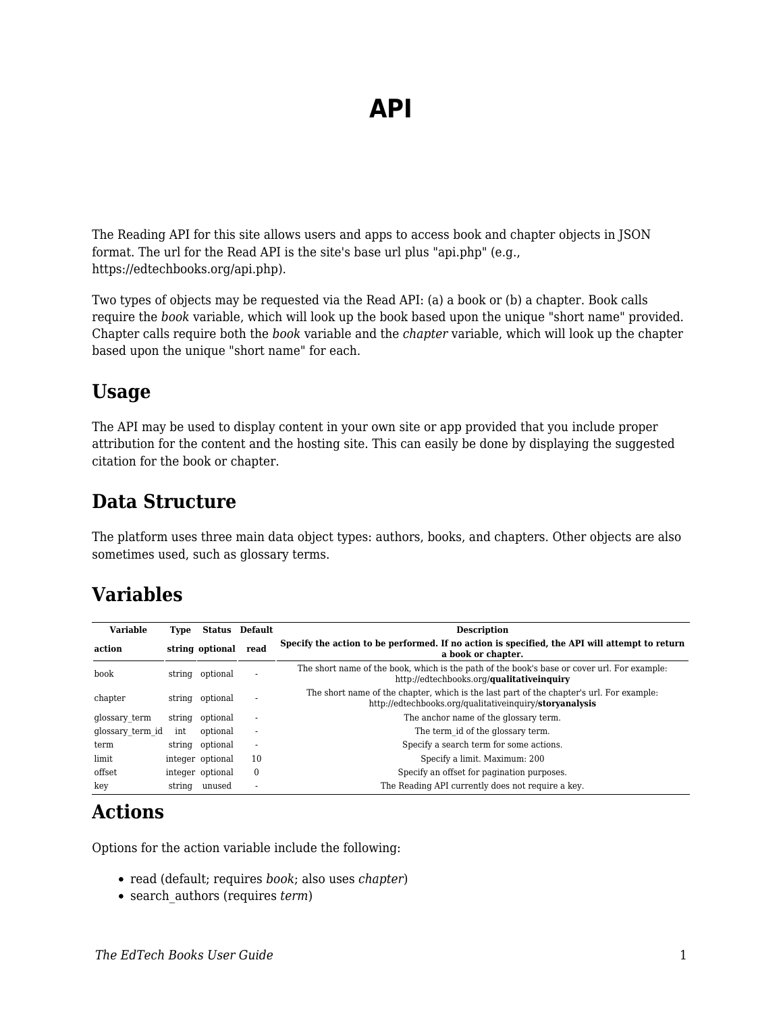The Reading API for this site allows users and apps to access book and chapter objects in JSON format. The url for the Read API is the site's base url plus "api.php" (e.g., https://edtechbooks.org/api.php).

Two types of objects may be requested via the Read API: (a) a book or (b) a chapter. Book calls require the *book* variable, which will look up the book based upon the unique "short name" provided. Chapter calls require both the *book* variable and the *chapter* variable, which will look up the chapter based upon the unique "short name" for each.

#### **Usage**

The API may be used to display content in your own site or app provided that you include proper attribution for the content and the hosting site. This can easily be done by displaying the suggested citation for the book or chapter.

### **Data Structure**

The platform uses three main data object types: authors, books, and chapters. Other objects are also sometimes used, such as glossary terms.

#### **Variables**

| <b>Variable</b>  | Type   |                  | <b>Status</b> Default    | <b>Description</b>                                                                                                                                  |
|------------------|--------|------------------|--------------------------|-----------------------------------------------------------------------------------------------------------------------------------------------------|
| action           |        | string optional  | read                     | Specify the action to be performed. If no action is specified, the API will attempt to return<br>a book or chapter.                                 |
| book             |        | string optional  | ٠                        | The short name of the book, which is the path of the book's base or cover url. For example:<br>http://edtechbooks.org/ <b>qualitativeinguiry</b>    |
| chapter          | string | optional         | $\overline{\phantom{a}}$ | The short name of the chapter, which is the last part of the chapter's url. For example:<br>http://edtechbooks.org/qualitativeinguiry/storyanalysis |
| glossary term    | string | optional         | $\overline{\phantom{a}}$ | The anchor name of the glossary term.                                                                                                               |
| glossary term id | int    | optional         | ×                        | The term id of the glossary term.                                                                                                                   |
| term             | string | optional         | ٠                        | Specify a search term for some actions.                                                                                                             |
| limit            |        | integer optional | 10                       | Specify a limit. Maximum: 200                                                                                                                       |
| offset           |        | integer optional | $\mathbf{0}$             | Specify an offset for pagination purposes.                                                                                                          |
| key              | string | unused           | $\overline{\phantom{a}}$ | The Reading API currently does not require a key.                                                                                                   |

#### **Actions**

Options for the action variable include the following:

- read (default; requires *book*; also uses *chapter*)
- search\_authors (requires *term*)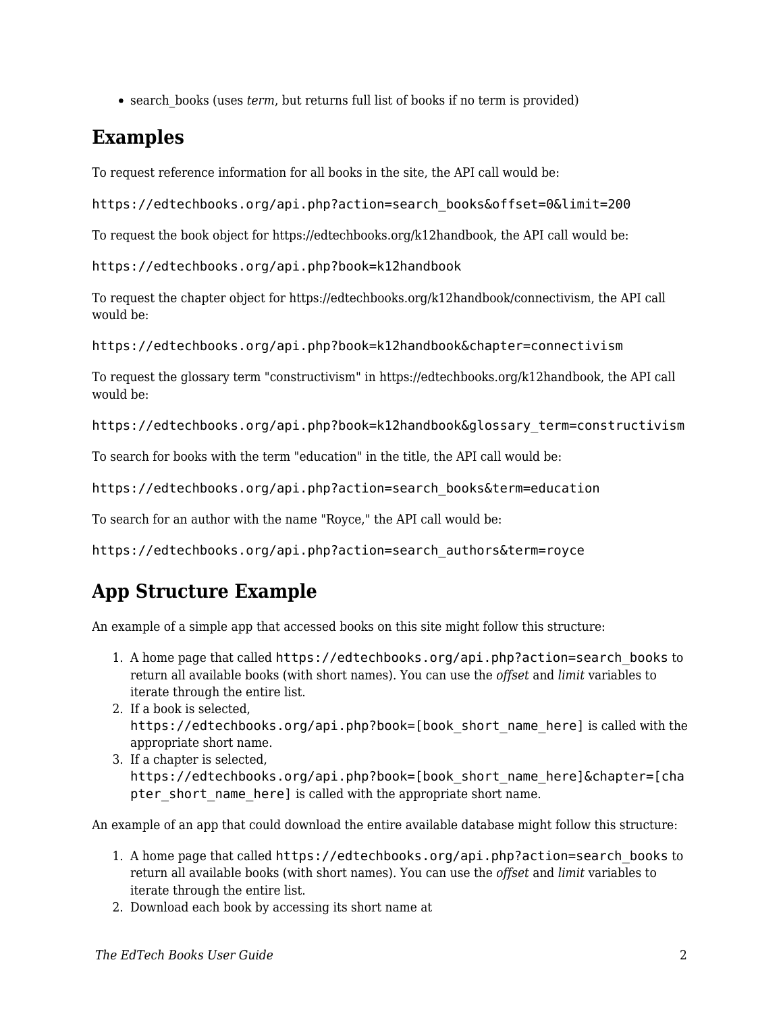• search books (uses *term*, but returns full list of books if no term is provided)

# **Examples**

To request reference information for all books in the site, the API call would be:

https://edtechbooks.org/api.php?action=search\_books&offset=0&limit=200

To request the book object for https://edtechbooks.org/k12handbook, the API call would be:

https://edtechbooks.org/api.php?book=k12handbook

To request the chapter object for https://edtechbooks.org/k12handbook/connectivism, the API call would be:

https://edtechbooks.org/api.php?book=k12handbook&chapter=connectivism

To request the glossary term "constructivism" in https://edtechbooks.org/k12handbook, the API call would be:

https://edtechbooks.org/api.php?book=k12handbook&glossary\_term=constructivism

To search for books with the term "education" in the title, the API call would be:

https://edtechbooks.org/api.php?action=search\_books&term=education

To search for an author with the name "Royce," the API call would be:

https://edtechbooks.org/api.php?action=search\_authors&term=royce

# **App Structure Example**

An example of a simple app that accessed books on this site might follow this structure:

- 1. A home page that called https://edtechbooks.org/api.php?action=search\_books to return all available books (with short names). You can use the *offset* and *limit* variables to iterate through the entire list.
- 2. If a book is selected, https://edtechbooks.org/api.php?book=[book\_short\_name\_here] is called with the appropriate short name.
- 3. If a chapter is selected, https://edtechbooks.org/api.php?book=[book\_short\_name\_here]&chapter=[cha pter short name here] is called with the appropriate short name.

An example of an app that could download the entire available database might follow this structure:

- 1. A home page that called https://edtechbooks.org/api.php?action=search\_books to return all available books (with short names). You can use the *offset* and *limit* variables to iterate through the entire list.
- 2. Download each book by accessing its short name at